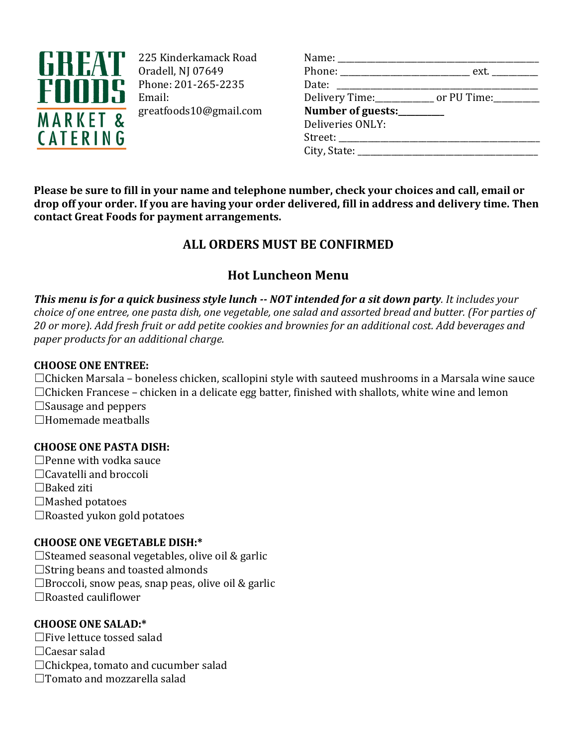

225 Kinderkamack Road Oradell, NJ 07649 Phone: 201-265-2235 Email: greatfoods10@gmail.com

| Name: _____________________        |                                                            |
|------------------------------------|------------------------------------------------------------|
|                                    | Phone: __________________________________ ext. ___________ |
| Date: __________________           |                                                            |
|                                    | Delivery Time:_____________ or PU Time:_________           |
| Number of guests:________          |                                                            |
| Deliveries ONLY:                   |                                                            |
| Street: __________________________ |                                                            |
| City, State: $\qquad \qquad$       |                                                            |
|                                    |                                                            |

**Please be sure to fill in your name and telephone number, check your choices and call, email or drop off your order. If you are having your order delivered, fill in address and delivery time. Then contact Great Foods for payment arrangements.**

# **ALL ORDERS MUST BE CONFIRMED**

# **Hot Luncheon Menu**

*This menu is for a quick business style lunch -- NOT intended for a sit down party. It includes your choice of one entree, one pasta dish, one vegetable, one salad and assorted bread and butter. (For parties of 20 or more). Add fresh fruit or add petite cookies and brownies for an additional cost. Add beverages and paper products for an additional charge.*

## **CHOOSE ONE ENTREE:**

 $\Box$ Chicken Marsala – boneless chicken, scallopini style with sauteed mushrooms in a Marsala wine sauce  $\Box$ Chicken Francese – chicken in a delicate egg batter, finished with shallots, white wine and lemon

 $\Box$ Sausage and peppers

☐Homemade meatballs

## **CHOOSE ONE PASTA DISH:**

- $\Box$ Penne with vodka sauce
- ☐Cavatelli and broccoli
- ☐Baked ziti
- $\Box$ Mashed potatoes
- ☐Roasted yukon gold potatoes

## **CHOOSE ONE VEGETABLE DISH:\***

 $\Box$ Steamed seasonal vegetables, olive oil & garlic □String beans and toasted almonds  $\Box$ Broccoli, snow peas, snap peas, olive oil & garlic ☐Roasted cauliflower

# **CHOOSE ONE SALAD:\***

- ☐Five lettuce tossed salad
- ☐Caesar salad
- ☐Chickpea, tomato and cucumber salad
- □Tomato and mozzarella salad